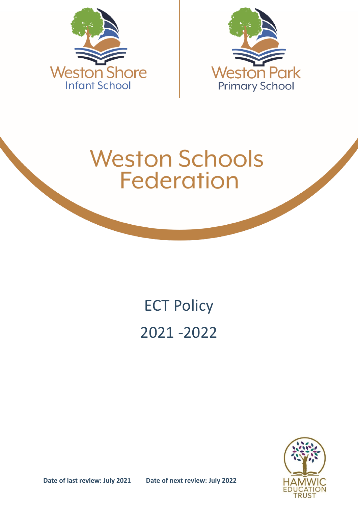



# **Weston Schools Federation**

## ECT Policy 2021 -2022



**Date of last review: July 2021 Date of next review: July 2022**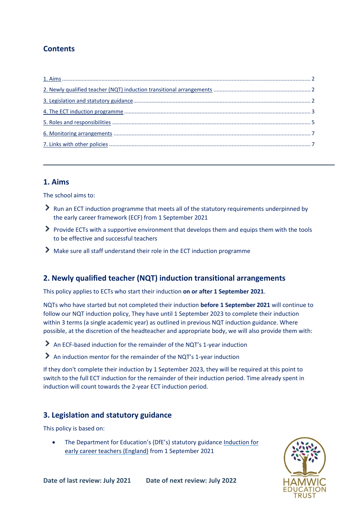## **Contents**

## <span id="page-1-0"></span>**1. Aims**

The school aims to:

- $\geq$  Run an ECT induction programme that meets all of the statutory requirements underpinned by the early career framework (ECF) from 1 September 2021
- $\triangleright$  Provide ECTs with a supportive environment that develops them and equips them with the tools to be effective and successful teachers
- Make sure all staff understand their role in the ECT induction programme

## <span id="page-1-1"></span>**2. Newly qualified teacher (NQT) induction transitional arrangements**

This policy applies to ECTs who start their induction **on or after 1 September 2021**.

NQTs who have started but not completed their induction **before 1 September 2021** will continue to follow our NQT induction policy, They have until 1 September 2023 to complete their induction within 3 terms (a single academic year) as outlined in previous NQT induction guidance. Where possible, at the discretion of the headteacher and appropriate body, we will also provide them with:

An ECF-based induction for the remainder of the NQT's 1-year induction

An induction mentor for the remainder of the NQT's 1-year induction

If they don't complete their induction by 1 September 2023, they will be required at this point to switch to the full ECT induction for the remainder of their induction period. Time already spent in induction will count towards the 2-year ECT induction period.

## <span id="page-1-2"></span>**3. Legislation and statutory guidance**

This policy is based on:

 The Department for Education's (DfE's) statutory guidance [Induction for](https://www.gov.uk/government/publications/induction-for-early-career-teachers-england)  [early career teachers \(England\)](https://www.gov.uk/government/publications/induction-for-early-career-teachers-england) from 1 September 2021

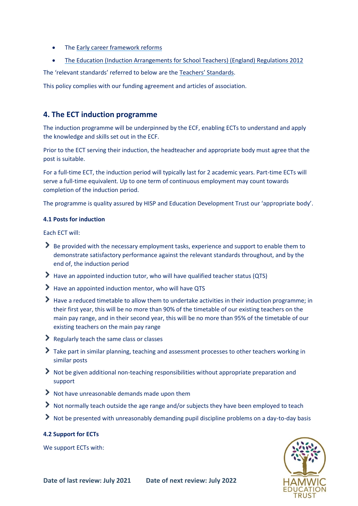- The [Early career framework reforms](https://www.gov.uk/government/collections/early-career-framework-reforms)
- [The Education \(Induction Arrangements for School Teachers\) \(England\) Regulations 2012](http://www.legislation.gov.uk/uksi/2012/1115/contents/made)

The 'relevant standards' referred to below are th[e Teachers' Standards](https://www.gov.uk/government/publications/teachers-standards).

This policy complies with our funding agreement and articles of association.

## <span id="page-2-0"></span>**4. The ECT induction programme**

The induction programme will be underpinned by the ECF, enabling ECTs to understand and apply the knowledge and skills set out in the ECF.

Prior to the ECT serving their induction, the headteacher and appropriate body must agree that the post is suitable.

For a full-time ECT, the induction period will typically last for 2 academic years. Part-time ECTs will serve a full-time equivalent. Up to one term of continuous employment may count towards completion of the induction period.

The programme is quality assured by HISP and Education Development Trust our 'appropriate body'.

#### **4.1 Posts for induction**

Each ECT will:

- Be provided with the necessary employment tasks, experience and support to enable them to demonstrate satisfactory performance against the relevant standards throughout, and by the end of, the induction period
- Have an appointed induction tutor, who will have qualified teacher status (QTS)
- Have an appointed induction mentor, who will have QTS
- Have a reduced timetable to allow them to undertake activities in their induction programme; in their first year, this will be no more than 90% of the timetable of our existing teachers on the main pay range, and in their second year, this will be no more than 95% of the timetable of our existing teachers on the main pay range
- Regularly teach the same class or classes
- Take part in similar planning, teaching and assessment processes to other teachers working in similar posts
- Not be given additional non-teaching responsibilities without appropriate preparation and support
- $\blacktriangleright$  Not have unreasonable demands made upon them
- Not normally teach outside the age range and/or subjects they have been employed to teach
- Not be presented with unreasonably demanding pupil discipline problems on a day-to-day basis

#### **4.2 Support for ECTs**

We support ECTs with:

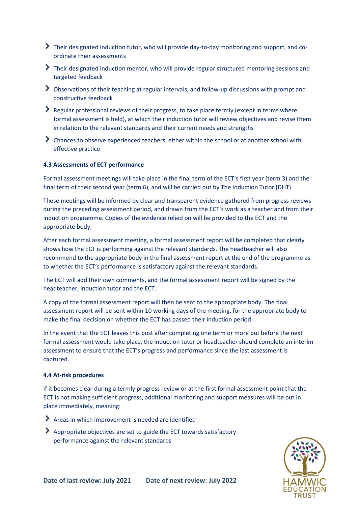- Their designated induction tutor, who will provide day-to-day monitoring and support, and coordinate their assessments
- Their designated induction mentor, who will provide regular structured mentoring sessions and targeted feedback
- Observations of their teaching at regular intervals, and follow-up discussions with prompt and constructive feedback
- Regular professional reviews of their progress, to take place termly (except in terms where formal assessment is held), at which their induction tutor will review objectives and revise them in relation to the relevant standards and their current needs and strengths
- Chances to observe experienced teachers, either within the school or at another school with effective practice

#### **4.3 Assessments of ECT performance**

Formal assessment meetings will take place in the final term of the ECT's first year (term 3) and the final term of their second year (term 6), and will be carried out by The Induction Tutor (DHT)

These meetings will be informed by clear and transparent evidence gathered from progress reviews during the preceding assessment period, and drawn from the ECT's work as a teacher and from their induction programme. Copies of the evidence relied on will be provided to the ECT and the appropriate body.

After each formal assessment meeting, a formal assessment report will be completed that clearly shows how the ECT is performing against the relevant standards. The headteacher will also recommend to the appropriate body in the final assessment report at the end of the programme as to whether the ECT's performance is satisfactory against the relevant standards.

The ECT will add their own comments, and the formal assessment report will be signed by the headteacher, induction tutor and the ECT.

A copy of the formal assessment report will then be sent to the appropriate body. The final assessment report will be sent within 10 working days of the meeting, for the appropriate body to make the final decision on whether the ECT has passed their induction period.

In the event that the ECT leaves this post after completing one term or more but before the next formal assessment would take place, the induction tutor or headteacher should complete an interim assessment to ensure that the ECT's progress and performance since the last assessment is captured.

#### **4.4 At-risk procedures**

If it becomes clear during a termly progress review or at the first formal assessment point that the ECT is not making sufficient progress, additional monitoring and support measures will be put in place immediately, meaning:

- Areas in which improvement is needed are identified
- Appropriate objectives are set to guide the ECT towards satisfactory performance against the relevant standards

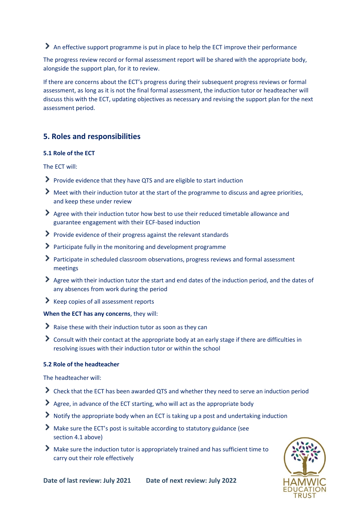An effective support programme is put in place to help the ECT improve their performance

The progress review record or formal assessment report will be shared with the appropriate body, alongside the support plan, for it to review.

If there are concerns about the ECT's progress during their subsequent progress reviews or formal assessment, as long as it is not the final formal assessment, the induction tutor or headteacher will discuss this with the ECT, updating objectives as necessary and revising the support plan for the next assessment period.

## <span id="page-4-0"></span>**5. Roles and responsibilities**

#### **5.1 Role of the ECT**

The ECT will:

- Provide evidence that they have QTS and are eligible to start induction
- Meet with their induction tutor at the start of the programme to discuss and agree priorities, and keep these under review
- Agree with their induction tutor how best to use their reduced timetable allowance and guarantee engagement with their ECF-based induction
- $\triangleright$  Provide evidence of their progress against the relevant standards
- Participate fully in the monitoring and development programme
- Participate in scheduled classroom observations, progress reviews and formal assessment meetings
- Agree with their induction tutor the start and end dates of the induction period, and the dates of any absences from work during the period
- $\blacktriangleright$  Keep copies of all assessment reports

#### **When the ECT has any concerns**, they will:

- Raise these with their induction tutor as soon as they can
- Consult with their contact at the appropriate body at an early stage if there are difficulties in resolving issues with their induction tutor or within the school

#### **5.2 Role of the headteacher**

The headteacher will:

- Check that the ECT has been awarded QTS and whether they need to serve an induction period
- Agree, in advance of the ECT starting, who will act as the appropriate body
- Notify the appropriate body when an ECT is taking up a post and undertaking induction
- Make sure the ECT's post is suitable according to statutory guidance (see section 4.1 above)
- Make sure the induction tutor is appropriately trained and has sufficient time to carry out their role effectively

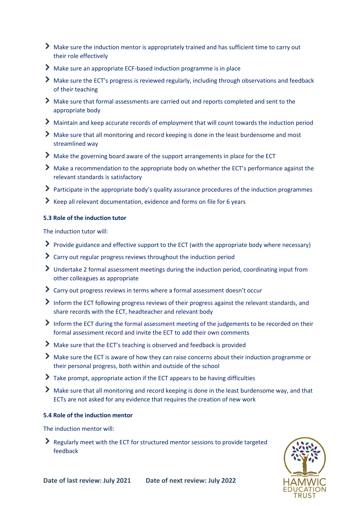- Make sure the induction mentor is appropriately trained and has sufficient time to carry out their role effectively
- Make sure an appropriate ECF-based induction programme is in place
- Make sure the ECT's progress is reviewed regularly, including through observations and feedback of their teaching
- Make sure that formal assessments are carried out and reports completed and sent to the appropriate body
- Maintain and keep accurate records of employment that will count towards the induction period
- Make sure that all monitoring and record keeping is done in the least burdensome and most streamlined way
- Make the governing board aware of the support arrangements in place for the ECT
- Make a recommendation to the appropriate body on whether the ECT's performance against the relevant standards is satisfactory
- Participate in the appropriate body's quality assurance procedures of the induction programmes
- Keep all relevant documentation, evidence and forms on file for 6 years

#### **5.3 Role of the induction tutor**

The induction tutor will:

- Provide guidance and effective support to the ECT (with the appropriate body where necessary)
- Carry out regular progress reviews throughout the induction period
- Undertake 2 formal assessment meetings during the induction period, coordinating input from other colleagues as appropriate
- Carry out progress reviews in terms where a formal assessment doesn't occur
- Inform the ECT following progress reviews of their progress against the relevant standards, and share records with the ECT, headteacher and relevant body
- Inform the ECT during the formal assessment meeting of the judgements to be recorded on their formal assessment record and invite the ECT to add their own comments
- Make sure that the ECT's teaching is observed and feedback is provided
- Make sure the ECT is aware of how they can raise concerns about their induction programme or their personal progress, both within and outside of the school
- Take prompt, appropriate action if the ECT appears to be having difficulties
- Make sure that all monitoring and record keeping is done in the least burdensome way, and that ECTs are not asked for any evidence that requires the creation of new work

#### **5.4 Role of the induction mentor**

The induction mentor will:

Regularly meet with the ECT for structured mentor sessions to provide targeted feedback

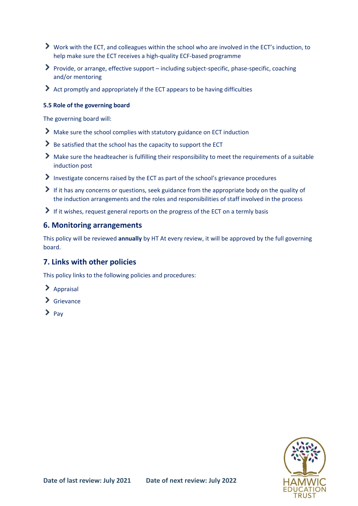- Work with the ECT, and colleagues within the school who are involved in the ECT's induction, to help make sure the ECT receives a high-quality ECF-based programme
- Provide, or arrange, effective support including subject-specific, phase-specific, coaching and/or mentoring
- $\blacktriangleright$  Act promptly and appropriately if the ECT appears to be having difficulties

#### **5.5 Role of the governing board**

The governing board will:

- Make sure the school complies with statutory guidance on ECT induction
- Be satisfied that the school has the capacity to support the ECT
- $\blacktriangleright$  Make sure the headteacher is fulfilling their responsibility to meet the requirements of a suitable induction post
- Investigate concerns raised by the ECT as part of the school's grievance procedures
- $\blacktriangleright$  If it has any concerns or questions, seek guidance from the appropriate body on the quality of the induction arrangements and the roles and responsibilities of staff involved in the process
- If it wishes, request general reports on the progress of the ECT on a termly basis

## <span id="page-6-0"></span>**6. Monitoring arrangements**

This policy will be reviewed **annually** by HT At every review, it will be approved by the full governing board.

## <span id="page-6-1"></span>**7. Links with other policies**

This policy links to the following policies and procedures:

- $\sum$  Appraisal
- $\sum$  Grievance
- $\sum_{\text{Pav}}$